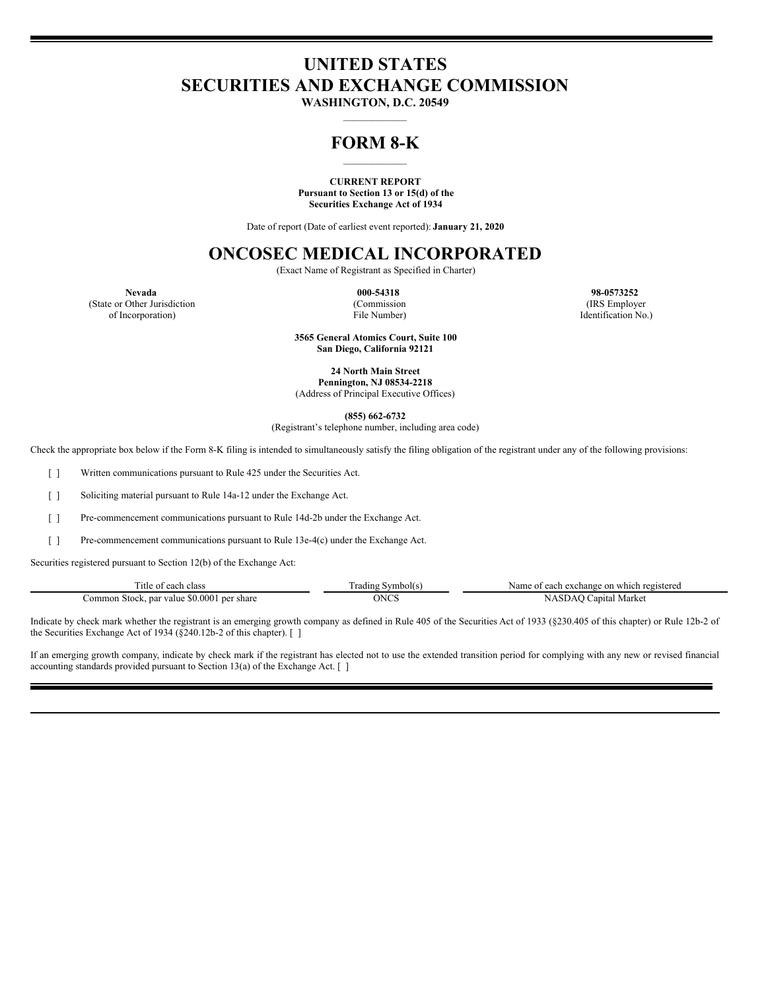# **UNITED STATES SECURITIES AND EXCHANGE COMMISSION**

**WASHINGTON, D.C. 20549**  $\mathcal{L}_\text{max}$ 

### **FORM 8-K**  $\mathcal{L}_\text{max}$  and  $\mathcal{L}_\text{max}$

#### **CURRENT REPORT Pursuant to Section 13 or 15(d) of the Securities Exchange Act of 1934**

Date of report (Date of earliest event reported): **January 21, 2020**

## **ONCOSEC MEDICAL INCORPORATED**

(Exact Name of Registrant as Specified in Charter)

**Nevada 000-54318 98-0573252**

(State or Other Jurisdiction (Commission (IRS Employer of Incorporation) File Number) Identification No.)

> **3565 General Atomics Court, Suite 100 San Diego, California 92121**

> > **24 North Main Street Pennington, NJ 08534-2218**

(Address of Principal Executive Offices)

**(855) 662-6732**

(Registrant's telephone number, including area code)

Check the appropriate box below if the Form 8-K filing is intended to simultaneously satisfy the filing obligation of the registrant under any of the following provisions:

[ ] Written communications pursuant to Rule 425 under the Securities Act.

[ ] Soliciting material pursuant to Rule 14a-12 under the Exchange Act.

[ ] Pre-commencement communications pursuant to Rule 14d-2b under the Exchange Act.

[ ] Pre-commencement communications pursuant to Rule 13e-4(c) under the Exchange Act.

Securities registered pursuant to Section 12(b) of the Exchange Act:

| l'itle of each class                           | m<br>radıng<br>Symbol(s. | Name of each exchange on which registered |
|------------------------------------------------|--------------------------|-------------------------------------------|
| 1 Stock, par value \$0.0001 per share<br>ommon | ONCS                     | NASDAC<br>Capital Market                  |

Indicate by check mark whether the registrant is an emerging growth company as defined in Rule 405 of the Securities Act of 1933 (§230.405 of this chapter) or Rule 12b-2 of the Securities Exchange Act of 1934 (§240.12b-2 of this chapter). [ ]

If an emerging growth company, indicate by check mark if the registrant has elected not to use the extended transition period for complying with any new or revised financial accounting standards provided pursuant to Section 13(a) of the Exchange Act. [ ]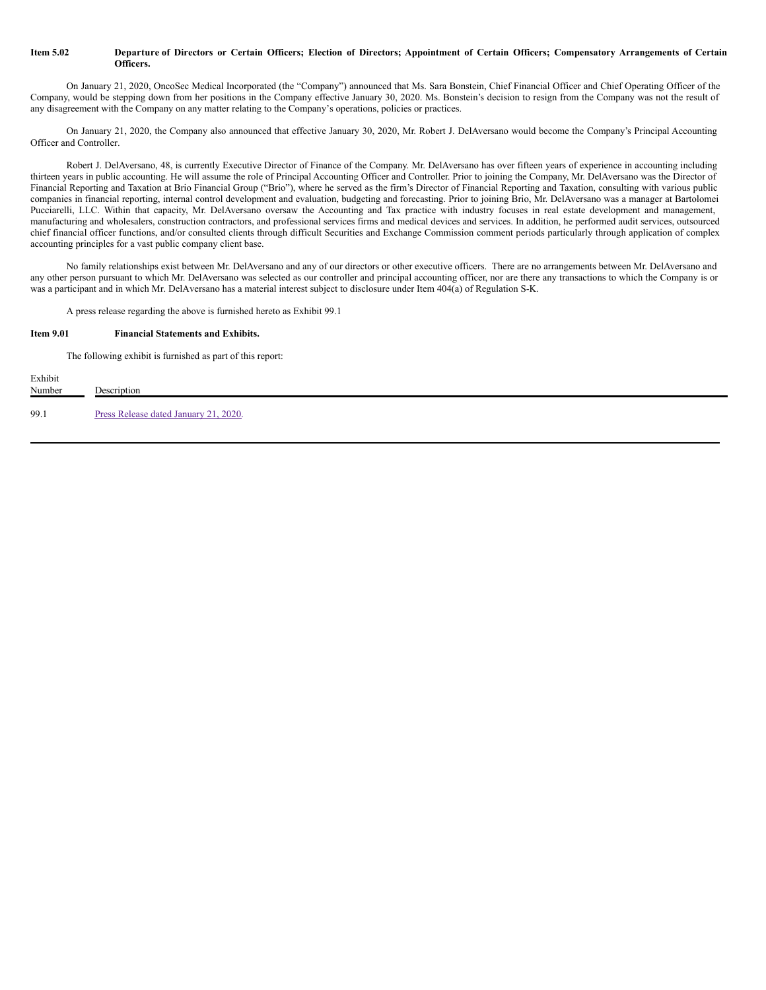#### Item 5.02 Departure of Directors or Certain Officers; Election of Directors; Appointment of Certain Officers; Compensatory Arrangements of Certain **Officers.**

On January 21, 2020, OncoSec Medical Incorporated (the "Company") announced that Ms. Sara Bonstein, Chief Financial Officer and Chief Operating Officer of the Company, would be stepping down from her positions in the Company effective January 30, 2020. Ms. Bonstein's decision to resign from the Company was not the result of any disagreement with the Company on any matter relating to the Company's operations, policies or practices.

On January 21, 2020, the Company also announced that effective January 30, 2020, Mr. Robert J. DelAversano would become the Company's Principal Accounting Officer and Controller.

Robert J. DelAversano, 48, is currently Executive Director of Finance of the Company. Mr. DelAversano has over fifteen years of experience in accounting including thirteen years in public accounting. He will assume the role of Principal Accounting Officer and Controller. Prior to joining the Company, Mr. DelAversano was the Director of Financial Reporting and Taxation at Brio Financial Group ("Brio"), where he served as the firm's Director of Financial Reporting and Taxation, consulting with various public companies in financial reporting, internal control development and evaluation, budgeting and forecasting. Prior to joining Brio, Mr. DelAversano was a manager at Bartolomei Pucciarelli, LLC. Within that capacity, Mr. DelAversano oversaw the Accounting and Tax practice with industry focuses in real estate development and management, manufacturing and wholesalers, construction contractors, and professional services firms and medical devices and services. In addition, he performed audit services, outsourced chief financial officer functions, and/or consulted clients through difficult Securities and Exchange Commission comment periods particularly through application of complex accounting principles for a vast public company client base.

No family relationships exist between Mr. DelAversano and any of our directors or other executive officers. There are no arrangements between Mr. DelAversano and any other person pursuant to which Mr. DelAversano was selected as our controller and principal accounting officer, nor are there any transactions to which the Company is or was a participant and in which Mr. DelAversano has a material interest subject to disclosure under Item 404(a) of Regulation S-K.

A press release regarding the above is furnished hereto as Exhibit 99.1

#### **Item 9.01 Financial Statements and Exhibits.**

The following exhibit is furnished as part of this report:

| Exhibit<br>Number | Description                           |
|-------------------|---------------------------------------|
| 99.1              | Press Release dated January 21, 2020. |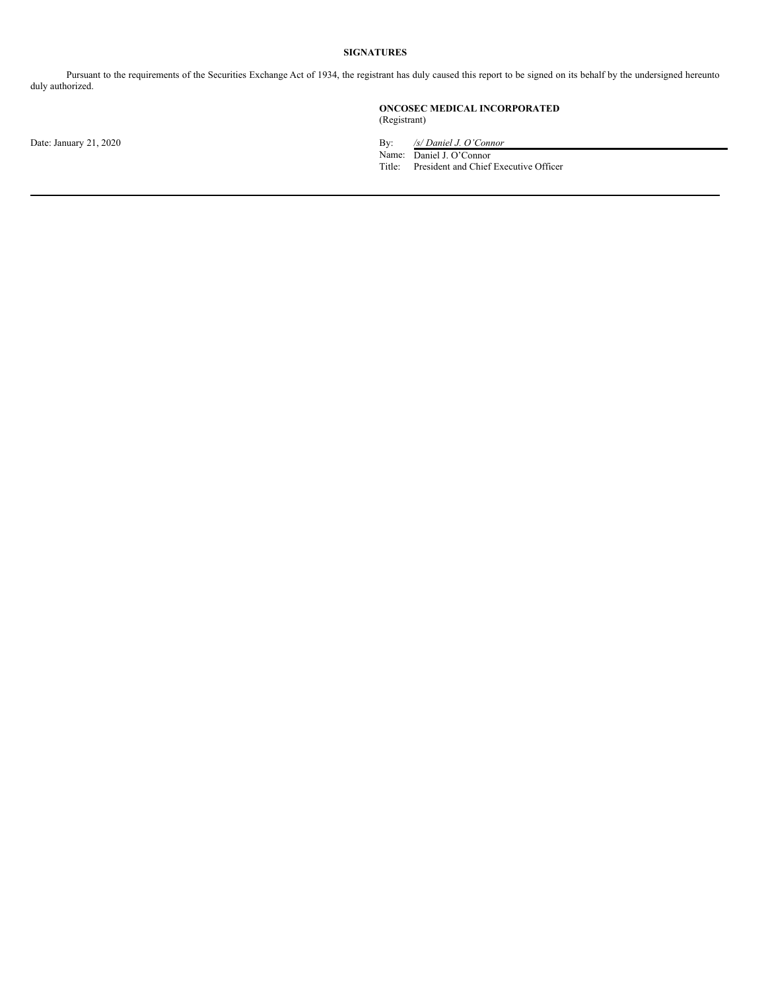#### **SIGNATURES**

Pursuant to the requirements of the Securities Exchange Act of 1934, the registrant has duly caused this report to be signed on its behalf by the undersigned hereunto duly authorized.

#### **ONCOSEC MEDICAL INCORPORATED** (Registrant)

Date: January 21, 2020 By: */s/ Daniel J. O'Connor*

Name: Daniel J. O'Connor

Title: President and Chief Executive Officer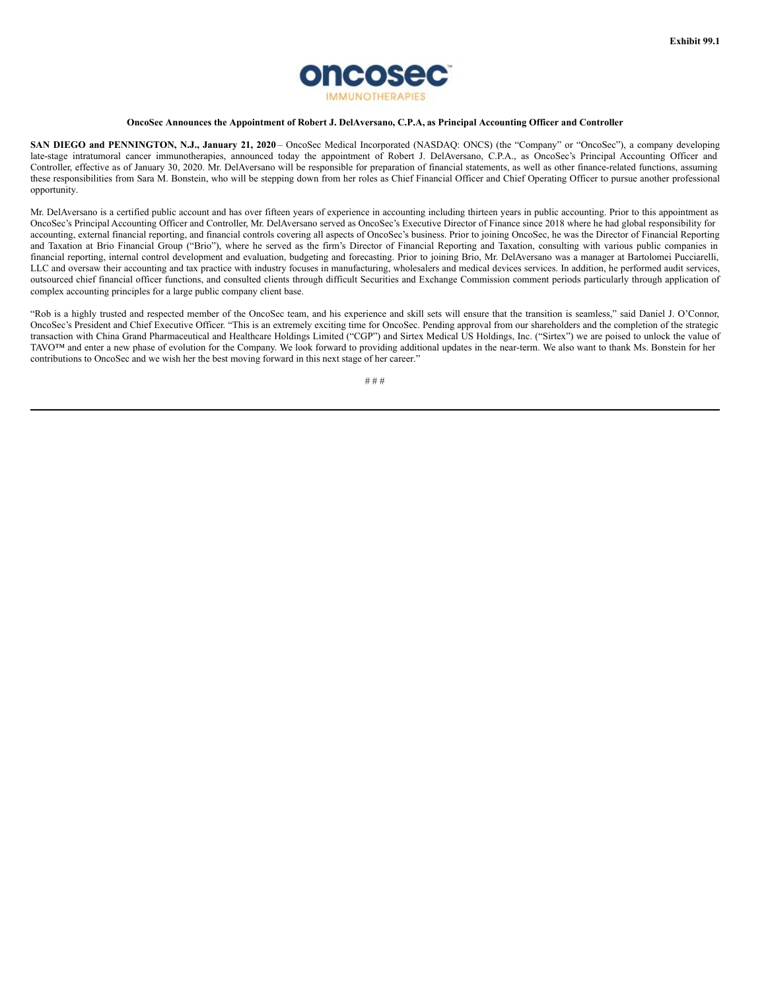

#### **OncoSec Announces the Appointment of Robert J. DelAversano, C.P.A, as Principal Accounting Officer and Controller**

**SAN DIEGO and PENNINGTON, N.J., January 21, 2020** – OncoSec Medical Incorporated (NASDAQ: ONCS) (the "Company" or "OncoSec"), a company developing late-stage intratumoral cancer immunotherapies, announced today the appointment of Robert J. DelAversano, C.P.A., as OncoSec's Principal Accounting Officer and Controller, effective as of January 30, 2020. Mr. DelAversano will be responsible for preparation of financial statements, as well as other finance-related functions, assuming these responsibilities from Sara M. Bonstein, who will be stepping down from her roles as Chief Financial Officer and Chief Operating Officer to pursue another professional opportunity.

Mr. DelAversano is a certified public account and has over fifteen years of experience in accounting including thirteen years in public accounting. Prior to this appointment as OncoSec's Principal Accounting Officer and Controller, Mr. DelAversano served as OncoSec's Executive Director of Finance since 2018 where he had global responsibility for accounting, external financial reporting, and financial controls covering all aspects of OncoSec's business. Prior to joining OncoSec, he was the Director of Financial Reporting and Taxation at Brio Financial Group ("Brio"), where he served as the firm's Director of Financial Reporting and Taxation, consulting with various public companies in financial reporting, internal control development and evaluation, budgeting and forecasting. Prior to joining Brio, Mr. DelAversano was a manager at Bartolomei Pucciarelli, LLC and oversaw their accounting and tax practice with industry focuses in manufacturing, wholesalers and medical devices services. In addition, he performed audit services, outsourced chief financial officer functions, and consulted clients through difficult Securities and Exchange Commission comment periods particularly through application of complex accounting principles for a large public company client base.

"Rob is a highly trusted and respected member of the OncoSec team, and his experience and skill sets will ensure that the transition is seamless," said Daniel J. O'Connor, OncoSec's President and Chief Executive Officer. "This is an extremely exciting time for OncoSec. Pending approval from our shareholders and the completion of the strategic transaction with China Grand Pharmaceutical and Healthcare Holdings Limited ("CGP") and Sirtex Medical US Holdings, Inc. ("Sirtex") we are poised to unlock the value of TAVO™ and enter a new phase of evolution for the Company. We look forward to providing additional updates in the near-term. We also want to thank Ms. Bonstein for her contributions to OncoSec and we wish her the best moving forward in this next stage of her career."

# # #